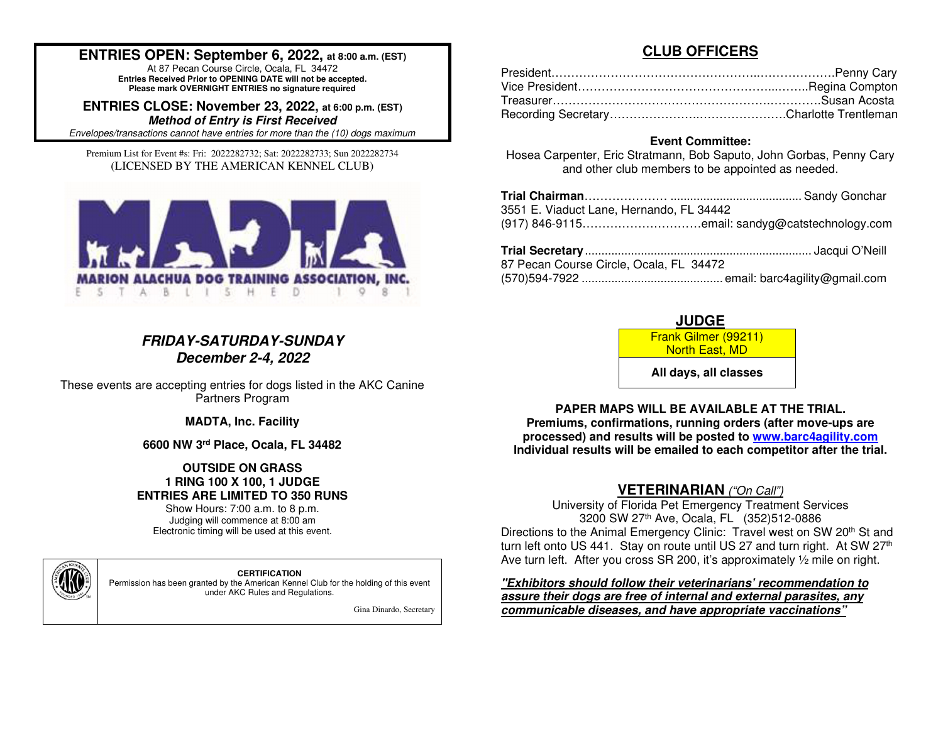## **ENTRIES OPEN: September 6, 2022, at 8:00 a.m. (EST)**

At 87 Pecan Course Circle, Ocala, FL 34472 **Entries Received Prior to OPENING DATE will not be accepted. Please mark OVERNIGHT ENTRIES no signature required**

**ENTRIES CLOSE: November 23, 2022, at 6:00 p.m. (EST)Method of Entry is First Received**

Envelopes/transactions cannot have entries for more than the (10) dogs maximum.

Premium List for Event #s: Fri: 2022282732; Sat: 2022282733; Sun 2022282734 (LICENSED BY THE AMERICAN KENNEL CLUB)



## **FRIDAY-SATURDAY-SUNDAY December 2-4, 2022**

These events are accepting entries for dogs listed in the AKC Canine Partners Program

**MADTA, Inc. Facility** 

**6600 NW 3rd Place, Ocala, FL 34482**

## **OUTSIDE ON GRASS 1 RING 100 X 100, 1 JUDGE ENTRIES ARE LIMITED TO 350 RUNS**

Show Hours: 7:00 a.m. to 8 p.m. Judging will commence at 8:00 am Electronic timing will be used at this event.

**CERTIFICATION**  Permission has been granted by the American Kennel Club for the holding of this event under AKC Rules and Regulations.

Gina Dinardo, Secretary

## **CLUB OFFICERS**

## **Event Committee:**

 Hosea Carpenter, Eric Stratmann, Bob Saputo, John Gorbas, Penny Cary and other club members to be appointed as needed.

| 3551 E. Viaduct Lane, Hernando, FL 34442 |  |
|------------------------------------------|--|
|                                          |  |
|                                          |  |
|                                          |  |

| 87 Pecan Course Circle, Ocala, FL 34472 |  |
|-----------------------------------------|--|
|                                         |  |

## **JUDGE**

 Frank Gilmer (99211) North East, MD

**All days, all classes**

## **PAPER MAPS WILL BE AVAILABLE AT THE TRIAL.**

 **Premiums, confirmations, running orders (after move-ups are processed) and results will be posted to www.barc4agility.comIndividual results will be emailed to each competitor after the trial.** 

# **VETERINARIAN** ("On Call")

University of Florida Pet Emergency Treatment Services 3200 SW 27th Ave, Ocala, FL (352)512-0886 Directions to the Animal Emergency Clinic: Travel west on SW 20<sup>th</sup> St and turn left onto US 441. Stay on route until US 27 and turn right. At SW 27<sup>th</sup> Ave turn left. After you cross SR 200, it's approximately 1/2 mile on right.

**"Exhibitors should follow their veterinarians' recommendation to assure their dogs are free of internal and external parasites, any communicable diseases, and have appropriate vaccinations"** 

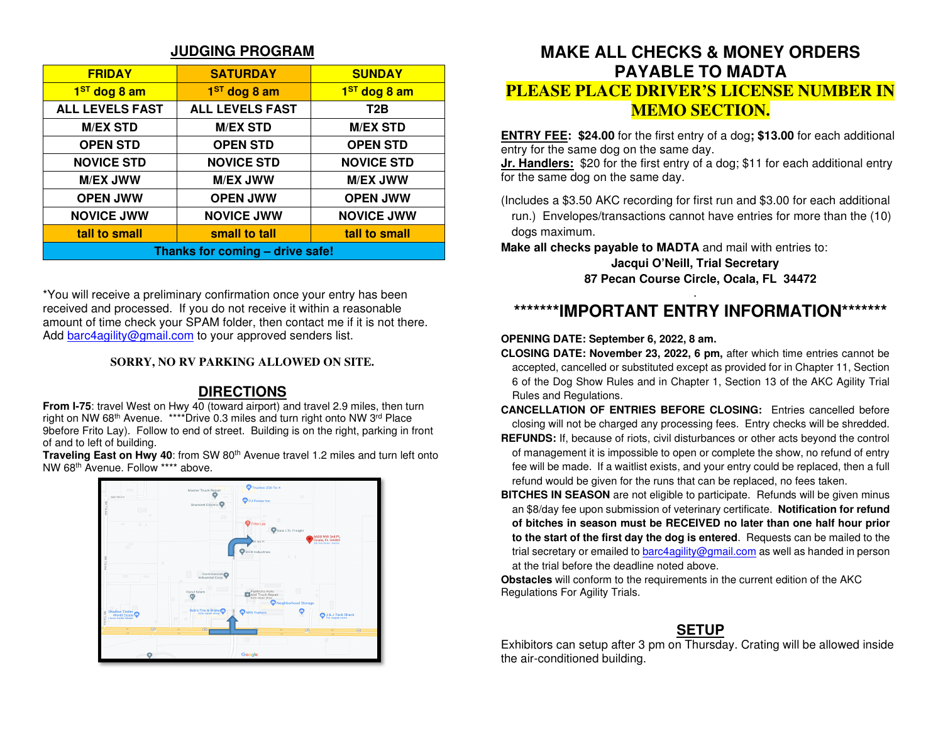## **JUDGING PROGRAM**

| <b>FRIDAY</b>                                   | <b>SATURDAY</b>        | <b>SUNDAY</b>            |  |  |  |
|-------------------------------------------------|------------------------|--------------------------|--|--|--|
| 1 <sup>ST</sup> dog 8 am                        | $1ST$ dog 8 am         | 1 <sup>ST</sup> dog 8 am |  |  |  |
| <b>ALL LEVELS FAST</b>                          | <b>ALL LEVELS FAST</b> | T <sub>2</sub> B         |  |  |  |
| <b>M/EX STD</b>                                 | <b>M/EX STD</b>        | <b>M/EX STD</b>          |  |  |  |
| <b>OPEN STD</b>                                 | <b>OPEN STD</b>        | <b>OPEN STD</b>          |  |  |  |
| <b>NOVICE STD</b><br><b>NOVICE STD</b>          |                        | <b>NOVICE STD</b>        |  |  |  |
| <b>M/EX JWW</b>                                 | <b>M/EX JWW</b>        |                          |  |  |  |
| <b>OPEN JWW</b>                                 | <b>OPEN JWW</b>        | <b>OPEN JWW</b>          |  |  |  |
| <b>NOVICE JWW</b>                               | <b>NOVICE JWW</b>      |                          |  |  |  |
| small to tall<br>tall to small<br>tall to small |                        |                          |  |  |  |
| Thanks for coming - drive safe!                 |                        |                          |  |  |  |

\*You will receive a preliminary confirmation once your entry has been received and processed. If you do not receive it within a reasonable amount of time check your SPAM folder, then contact me if it is not there. Add barc4agility@gmail.com to your approved senders list.

## **SORRY, NO RV PARKING ALLOWED ON SITE.**

## **DIRECTIONS**

 **From I-75**: travel West on Hwy 40 (toward airport) and travel 2.9 miles, then turn right on NW 68th Avenue. \*\*\*\*Drive 0.3 miles and turn right onto NW 3rd Place 9before Frito Lay). Follow to end of street. Building is on the right, parking in front of and to left of building.

Traveling East on Hwy 40: from SW 80<sup>th</sup> Avenue travel 1.2 miles and turn left onto NW 68th Avenue. Follow \*\*\*\* above.



# **MAKE ALL CHECKS & MONEY ORDERS PAYABLE TO MADTA PLEASE PLACE DRIVER'S LICENSE NUMBER IN MEMO SECTION.**

**ENTRY FEE: \$24.00** for the first entry of a dog**; \$13.00** for each additional entry for the same dog on the same day.

 **Jr. Handlers:** \$20 for the first entry of a dog; \$11 for each additional entry for the same dog on the same day.

(Includes a \$3.50 AKC recording for first run and \$3.00 for each additional run.) Envelopes/transactions cannot have entries for more than the (10) dogs maximum.

**Make all checks payable to MADTA** and mail with entries to:

## **Jacqui O'Neill, Trial Secretary 87 Pecan Course Circle, Ocala, FL 34472**

# **\*\*\*\*\*\*\*IMPORTANT ENTRY INFORMATION\*\*\*\*\*\*\***

## **OPENING DATE: September 6, 2022, 8 am.**

- **CLOSING DATE: November 23, 2022, 6 pm,** after which time entries cannot be accepted, cancelled or substituted except as provided for in Chapter 11, Section 6 of the Dog Show Rules and in Chapter 1, Section 13 of the AKC Agility Trial Rules and Regulations.
- **CANCELLATION OF ENTRIES BEFORE CLOSING:** Entries cancelled before closing will not be charged any processing fees. Entry checks will be shredded.
- **REFUNDS:** If, because of riots, civil disturbances or other acts beyond the control of management it is impossible to open or complete the show, no refund of entry fee will be made. If a waitlist exists, and your entry could be replaced, then a full refund would be given for the runs that can be replaced, no fees taken.
- **BITCHES IN SEASON** are not eligible to participate. Refunds will be given minus an \$8/day fee upon submission of veterinary certificate. **Notification for refund of bitches in season must be RECEIVED no later than one half hour prior to the start of the first day the dog is entered**. Requests can be mailed to the trial secretary or emailed to barc4agility@gmail.com as well as handed in person at the trial before the deadline noted above.

**Obstacles** will conform to the requirements in the current edition of the AKC Regulations For Agility Trials.

# **SETUP**

 Exhibitors can setup after 3 pm on Thursday. Crating will be allowed inside the air-conditioned building.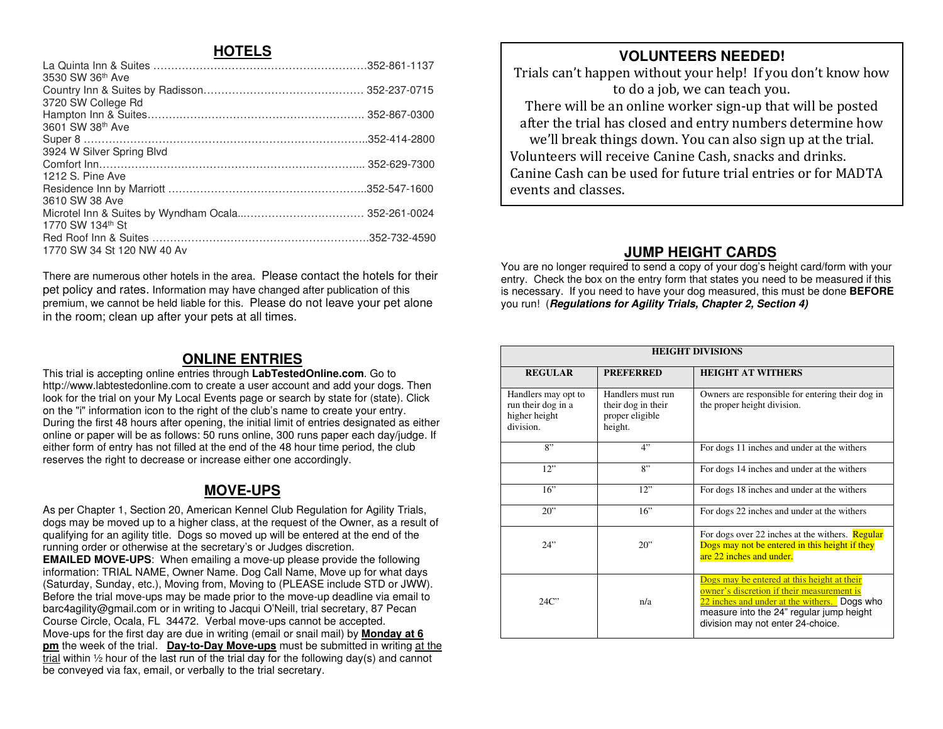## **HOTELS**

| 3530 SW 36th Ave           |  |
|----------------------------|--|
|                            |  |
| 3720 SW College Rd         |  |
|                            |  |
| 3601 SW 38th Ave           |  |
|                            |  |
| 3924 W Silver Spring Blvd  |  |
|                            |  |
| 1212 S. Pine Ave           |  |
|                            |  |
| 3610 SW 38 Ave             |  |
|                            |  |
| 1770 SW 134th St           |  |
|                            |  |
| 1770 SW 34 St 120 NW 40 Av |  |
|                            |  |

There are numerous other hotels in the area. Please contact the hotels for their pet policy and rates. Information may have changed after publication of this premium, we cannot be held liable for this. Please do not leave your pet alone in the room; clean up after your pets at all times.

## **ONLINE ENTRIES**

 This trial is accepting online entries through **LabTestedOnline.com**. Go to http://www.labtestedonline.com to create a user account and add your dogs. Then look for the trial on your My Local Events page or search by state for (state). Click on the "i" information icon to the right of the club's name to create your entry. During the first 48 hours after opening, the initial limit of entries designated as either online or paper will be as follows: 50 runs online, 300 runs paper each day/judge. If either form of entry has not filled at the end of the 48 hour time period, the club reserves the right to decrease or increase either one accordingly.

# **MOVE-UPS**

As per Chapter 1, Section 20, American Kennel Club Regulation for Agility Trials, dogs may be moved up to a higher class, at the request of the Owner, as a result of qualifying for an agility title. Dogs so moved up will be entered at the end of the running order or otherwise at the secretary's or Judges discretion. **EMAILED MOVE-UPS**: When emailing a move-up please provide the following information: TRIAL NAME, Owner Name. Dog Call Name, Move up for what days (Saturday, Sunday, etc.), Moving from, Moving to (PLEASE include STD or JWW). Before the trial move-ups may be made prior to the move-up deadline via email to barc4agility@gmail.com or in writing to Jacqui O'Neill, trial secretary, 87 Pecan Course Circle, Ocala, FL 34472. Verbal move-ups cannot be accepted. Move-ups for the first day are due in writing (email or snail mail) by **Monday at 6 pm** the week of the trial. **Day-to-Day Move-ups** must be submitted in writing at the trial within ½ hour of the last run of the trial day for the following day(s) and cannot be conveyed via fax, email, or verbally to the trial secretary.

# **VOLUNTEERS NEEDED!**

 Trials can't happen without your help! If you don't know how to do a job, we can teach you.

 There will be an online worker sign-up that will be posted after the trial has closed and entry numbers determine how we'll break things down. You can also sign up at the trial. Volunteers will receive Canine Cash, snacks and drinks. Canine Cash can be used for future trial entries or for MADTA events and classes.

# **JUMP HEIGHT CARDS**

 You are no longer required to send a copy of your dog's height card/form with your entry. Check the box on the entry form that states you need to be measured if this is necessary. If you need to have your dog measured, this must be done **BEFORE**you run! (**Regulations for Agility Trials, Chapter 2, Section 4)** 

| <b>HEIGHT DIVISIONS</b>                                                 |                                                                       |                                                                                                                                                                                                                            |  |  |  |  |  |  |
|-------------------------------------------------------------------------|-----------------------------------------------------------------------|----------------------------------------------------------------------------------------------------------------------------------------------------------------------------------------------------------------------------|--|--|--|--|--|--|
| <b>REGULAR</b>                                                          | <b>PREFERRED</b>                                                      | <b>HEIGHT AT WITHERS</b>                                                                                                                                                                                                   |  |  |  |  |  |  |
| Handlers may opt to<br>run their dog in a<br>higher height<br>division. | Handlers must run<br>their dog in their<br>proper eligible<br>height. | Owners are responsible for entering their dog in<br>the proper height division.                                                                                                                                            |  |  |  |  |  |  |
| 8"                                                                      | 4"                                                                    | For dogs 11 inches and under at the withers                                                                                                                                                                                |  |  |  |  |  |  |
| 12"                                                                     | 8"                                                                    | For dogs 14 inches and under at the withers                                                                                                                                                                                |  |  |  |  |  |  |
| 16"                                                                     | 12"                                                                   | For dogs 18 inches and under at the withers                                                                                                                                                                                |  |  |  |  |  |  |
| 20"                                                                     | 16"                                                                   | For dogs 22 inches and under at the withers                                                                                                                                                                                |  |  |  |  |  |  |
| 24"                                                                     | $20$ "                                                                | For dogs over 22 inches at the withers. <b>Regular</b><br>Dogs may not be entered in this height if they<br>are 22 inches and under.                                                                                       |  |  |  |  |  |  |
| 24C                                                                     | n/a                                                                   | Dogs may be entered at this height at their<br>owner's discretion if their measurement is<br>22 inches and under at the withers. Dogs who<br>measure into the 24" regular jump height<br>division may not enter 24-choice. |  |  |  |  |  |  |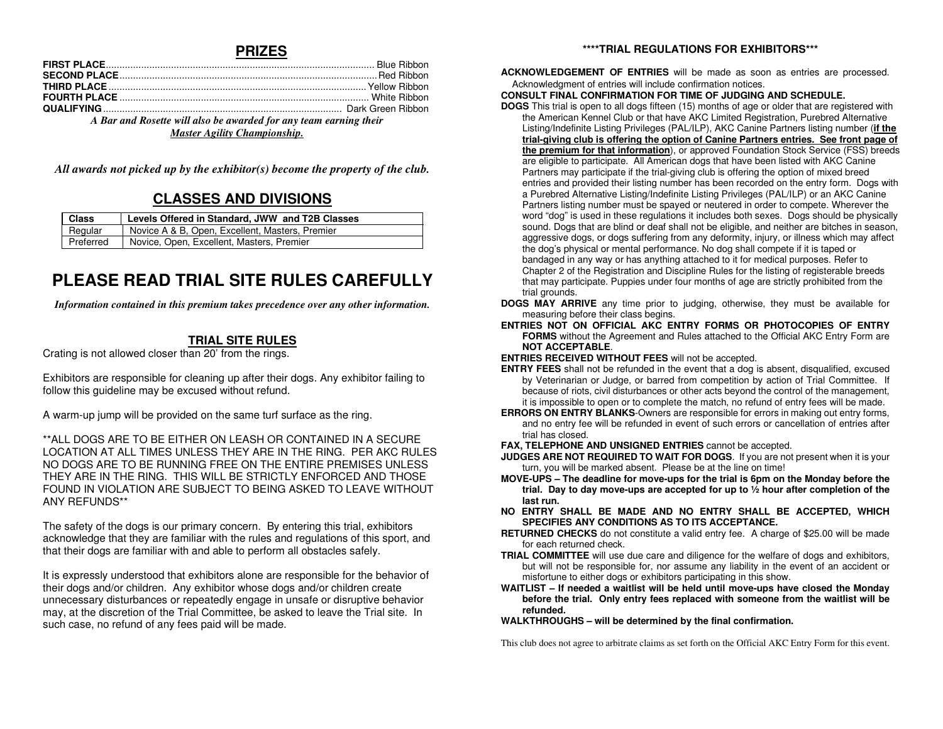## **PRIZES**

| A Bar and Rosette will also be awarded for any team earning their |  |  |  |  |
|-------------------------------------------------------------------|--|--|--|--|
| <b>Master Agility Championship.</b>                               |  |  |  |  |

*All awards not picked up by the exhibitor(s) become the property of the club.* 

# **CLASSES AND DIVISIONS**

| <b>Class</b> | Levels Offered in Standard, JWW and T2B Classes |
|--------------|-------------------------------------------------|
| Regular      | Novice A & B, Open, Excellent, Masters, Premier |
| Preferred    | Novice, Open, Excellent, Masters, Premier       |

# **PLEASE READ TRIAL SITE RULES CAREFULLY**

*Information contained in this premium takes precedence over any other information.* 

## **TRIAL SITE RULES**

Crating is not allowed closer than 20' from the rings.

Exhibitors are responsible for cleaning up after their dogs. Any exhibitor failing to follow this guideline may be excused without refund.

A warm-up jump will be provided on the same turf surface as the ring.

\*\*ALL DOGS ARE TO BE EITHER ON LEASH OR CONTAINED IN A SECURE LOCATION AT ALL TIMES UNLESS THEY ARE IN THE RING. PER AKC RULES NO DOGS ARE TO BE RUNNING FREE ON THE ENTIRE PREMISES UNLESS THEY ARE IN THE RING. THIS WILL BE STRICTLY ENFORCED AND THOSE FOUND IN VIOLATION ARE SUBJECT TO BEING ASKED TO LEAVE WITHOUT ANY REFUNDS\*\*

The safety of the dogs is our primary concern. By entering this trial, exhibitors acknowledge that they are familiar with the rules and regulations of this sport, and that their dogs are familiar with and able to perform all obstacles safely.

It is expressly understood that exhibitors alone are responsible for the behavior of their dogs and/or children. Any exhibitor whose dogs and/or children create unnecessary disturbances or repeatedly engage in unsafe or disruptive behavior may, at the discretion of the Trial Committee, be asked to leave the Trial site. In such case, no refund of any fees paid will be made.

#### **\*\*\*\*TRIAL REGULATIONS FOR EXHIBITORS\*\*\***

**ACKNOWLEDGEMENT OF ENTRIES** will be made as soon as entries are processed. Acknowledgment of entries will include confirmation notices.

#### **CONSULT FINAL CONFIRMATION FOR TIME OF JUDGING AND SCHEDULE.**

 **DOGS** This trial is open to all dogs fifteen (15) months of age or older that are registered with the American Kennel Club or that have AKC Limited Registration, Purebred Alternative Listing/Indefinite Listing Privileges (PAL/ILP), AKC Canine Partners listing number (**if the trial-giving club is offering the option of Canine Partners entries. See front page of the premium for that information**), or approved Foundation Stock Service (FSS) breedsare eligible to participate. All American dogs that have been listed with AKC Canine Partners may participate if the trial-giving club is offering the option of mixed breed entries and provided their listing number has been recorded on the entry form. Dogs with a Purebred Alternative Listing/Indefinite Listing Privileges (PAL/ILP) or an AKC Canine Partners listing number must be spayed or neutered in order to compete. Wherever the word "dog" is used in these regulations it includes both sexes. Dogs should be physically sound. Dogs that are blind or deaf shall not be eligible, and neither are bitches in season, aggressive dogs, or dogs suffering from any deformity, injury, or illness which may affect the dog's physical or mental performance. No dog shall compete if it is taped or bandaged in any way or has anything attached to it for medical purposes. Refer to Chapter 2 of the Registration and Discipline Rules for the listing of registerable breeds that may participate. Puppies under four months of age are strictly prohibited from the trial grounds.

- **DOGS MAY ARRIVE** any time prior to judging, otherwise, they must be available for measuring before their class begins.
- **ENTRIES NOT ON OFFICIAL AKC ENTRY FORMS OR PHOTOCOPIES OF ENTRY FORMS** without the Agreement and Rules attached to the Official AKC Entry Form are **NOT ACCEPTABLE**.

**ENTRIES RECEIVED WITHOUT FEES** will not be accepted.

- **ENTRY FEES** shall not be refunded in the event that a dog is absent, disqualified, excused by Veterinarian or Judge, or barred from competition by action of Trial Committee. If because of riots, civil disturbances or other acts beyond the control of the management, it is impossible to open or to complete the match, no refund of entry fees will be made.
- **ERRORS ON ENTRY BLANKS**-Owners are responsible for errors in making out entry forms, and no entry fee will be refunded in event of such errors or cancellation of entries after trial has closed.

**FAX, TELEPHONE AND UNSIGNED ENTRIES** cannot be accepted.

- **JUDGES ARE NOT REQUIRED TO WAIT FOR DOGS**. If you are not present when it is your turn, you will be marked absent. Please be at the line on time!
- **MOVE-UPS The deadline for move-ups for the trial is 6pm on the Monday before the trial. Day to day move-ups are accepted for up to ½ hour after completion of the last run.**
- **NO ENTRY SHALL BE MADE AND NO ENTRY SHALL BE ACCEPTED, WHICH SPECIFIES ANY CONDITIONS AS TO ITS ACCEPTANCE.**
- **RETURNED CHECKS** do not constitute a valid entry fee. A charge of \$25.00 will be made for each returned check.
- **TRIAL COMMITTEE** will use due care and diligence for the welfare of dogs and exhibitors, but will not be responsible for, nor assume any liability in the event of an accident or misfortune to either dogs or exhibitors participating in this show.
- **WAITLIST If needed a waitlist will be held until move-ups have closed the Monday before the trial. Only entry fees replaced with someone from the waitlist will be refunded.**

**WALKTHROUGHS – will be determined by the final confirmation.** 

This club does not agree to arbitrate claims as set forth on the Official AKC Entry Form for this event.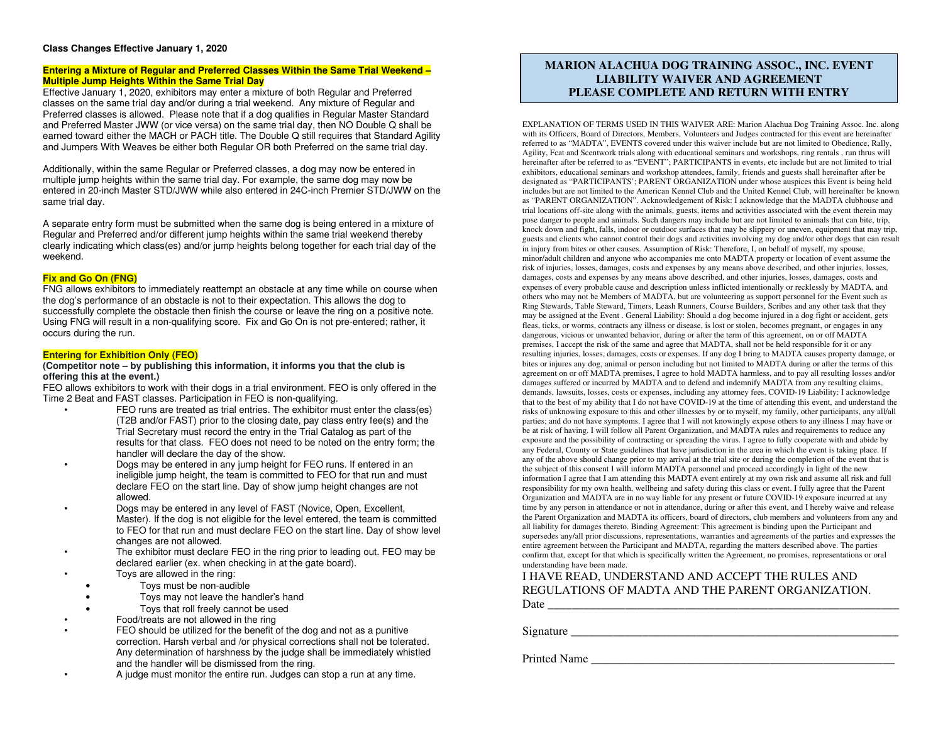#### **Class Changes Effective January 1, 2020**

#### **Entering a Mixture of Regular and Preferred Classes Within the Same Trial Weekend – Multiple Jump Heights Within the Same Trial Day**

 Effective January 1, 2020, exhibitors may enter a mixture of both Regular and Preferred classes on the same trial day and/or during a trial weekend. Any mixture of Regular and Preferred classes is allowed. Please note that if a dog qualifies in Regular Master Standard and Preferred Master JWW (or vice versa) on the same trial day, then NO Double Q shall be earned toward either the MACH or PACH title. The Double Q still requires that Standard Agility and Jumpers With Weaves be either both Regular OR both Preferred on the same trial day.

Additionally, within the same Regular or Preferred classes, a dog may now be entered in multiple jump heights within the same trial day. For example, the same dog may now be entered in 20-inch Master STD/JWW while also entered in 24C-inch Premier STD/JWW on the same trial day.

A separate entry form must be submitted when the same dog is being entered in a mixture of Regular and Preferred and/or different jump heights within the same trial weekend thereby clearly indicating which class(es) and/or jump heights belong together for each trial day of the weekend.

#### **Fix and Go On (FNG)**

 FNG allows exhibitors to immediately reattempt an obstacle at any time while on course when the dog's performance of an obstacle is not to their expectation. This allows the dog to successfully complete the obstacle then finish the course or leave the ring on a positive note. Using FNG will result in a non-qualifying score. Fix and Go On is not pre-entered; rather, it occurs during the run.

#### **Entering for Exhibition Only (FEO)**

#### **(Competitor note – by publishing this information, it informs you that the club is offering this at the event.)**

 FEO allows exhibitors to work with their dogs in a trial environment. FEO is only offered in the Time 2 Beat and FAST classes. Participation in FEO is non-qualifying.

- FEO runs are treated as trial entries. The exhibitor must enter the class(es) (T2B and/or FAST) prior to the closing date, pay class entry fee(s) and the Trial Secretary must record the entry in the Trial Catalog as part of the results for that class. FEO does not need to be noted on the entry form; the handler will declare the day of the show.
- Dogs may be entered in any jump height for FEO runs. If entered in an ineligible jump height, the team is committed to FEO for that run and must declare FEO on the start line. Day of show jump height changes are not allowed.
- Dogs may be entered in any level of FAST (Novice, Open, Excellent, Master). If the dog is not eligible for the level entered, the team is committed to FEO for that run and must declare FEO on the start line. Day of show level changes are not allowed.
- The exhibitor must declare FEO in the ring prior to leading out. FEO may be declared earlier (ex. when checking in at the gate board).
- Toys are allowed in the ring:
	- Toys must be non-audible
- Toys may not leave the handler's hand
	- Toys that roll freely cannot be used
- Food/treats are not allowed in the ring
- FEO should be utilized for the benefit of the dog and not as a punitive correction. Harsh verbal and /or physical corrections shall not be tolerated. Any determination of harshness by the judge shall be immediately whistled and the handler will be dismissed from the ring.
- A judge must monitor the entire run. Judges can stop a run at any time.

EXPLANATION OF TERMS USED IN THIS WAIVER ARE: Marion Alachua Dog Training Assoc. Inc. along with its Officers, Board of Directors, Members, Volunteers and Judges contracted for this event are hereinafter referred to as "MADTA", EVENTS covered under this waiver include but are not limited to Obedience, Rally, Agility, Fcat and Scentwork trials along with educational seminars and workshops, ring rentals , run thrus will hereinafter after be referred to as "EVENT"; PARTICIPANTS in events, etc include but are not limited to trial exhibitors, educational seminars and workshop attendees, family, friends and guests shall hereinafter after be designated as "PARTICIPANTS'; PARENT ORGANIZATION under whose auspices this Event is being held includes but are not limited to the American Kennel Club and the United Kennel Club, will hereinafter be known as "PARENT ORGANIZATION". Acknowledgement of Risk: I acknowledge that the MADTA clubhouse and trial locations off-site along with the animals, guests, items and activities associated with the event therein may pose danger to people and animals. Such dangers may include but are not limited to animals that can bite, trip, knock down and fight, falls, indoor or outdoor surfaces that may be slippery or uneven, equipment that may trip, guests and clients who cannot control their dogs and activities involving my dog and/or other dogs that can result in injury from bites or other causes. Assumption of Risk: Therefore, I, on behalf of myself, my spouse, minor/adult children and anyone who accompanies me onto MADTA property or location of event assume the risk of injuries, losses, damages, costs and expenses by any means above described, and other injuries, losses, damages, costs and expenses by any means above described, and other injuries, losses, damages, costs and expenses of every probable cause and description unless inflicted intentionally or recklessly by MADTA, and others who may not be Members of MADTA, but are volunteering as support personnel for the Event such as Ring Stewards, Table Steward, Timers, Leash Runners, Course Builders, Scribes and any other task that they may be assigned at the Event . General Liability: Should a dog become injured in a dog fight or accident, gets fleas, ticks, or worms, contracts any illness or disease, is lost or stolen, becomes pregnant, or engages in any dangerous, vicious or unwanted behavior, during or after the term of this agreement, on or off MADTA premises, I accept the risk of the same and agree that MADTA, shall not be held responsible for it or any resulting injuries, losses, damages, costs or expenses. If any dog I bring to MADTA causes property damage, or bites or injures any dog, animal or person including but not limited to MADTA during or after the terms of this agreement on or off MADTA premises, I agree to hold MADTA harmless, and to pay all resulting losses and/or damages suffered or incurred by MADTA and to defend and indemnify MADTA from any resulting claims, demands, lawsuits, losses, costs or expenses, including any attorney fees. COVID-19 Liability: I acknowledge that to the best of my ability that I do not have COVID-19 at the time of attending this event, and understand the risks of unknowing exposure to this and other illnesses by or to myself, my family, other participants, any all/all parties; and do not have symptoms. I agree that I will not knowingly expose others to any illness I may have or be at risk of having. I will follow all Parent Organization, and MADTA rules and requirements to reduce any exposure and the possibility of contracting or spreading the virus. I agree to fully cooperate with and abide by any Federal, County or State guidelines that have jurisdiction in the area in which the event is taking place. If any of the above should change prior to my arrival at the trial site or during the completion of the event that is the subject of this consent I will inform MADTA personnel and proceed accordingly in light of the new information I agree that I am attending this MADTA event entirely at my own risk and assume all risk and full responsibility for my own health, wellbeing and safety during this class or event. I fully agree that the Parent Organization and MADTA are in no way liable for any present or future COVID-19 exposure incurred at any time by any person in attendance or not in attendance, during or after this event, and I hereby waive and release the Parent Organization and MADTA its officers, board of directors, club members and volunteers from any and all liability for damages thereto. Binding Agreement: This agreement is binding upon the Participant and supersedes any/all prior discussions, representations, warranties and agreements of the parties and expresses the entire agreement between the Participant and MADTA, regarding the matters described above. The parties confirm that, except for that which is specifically written the Agreement, no promises, representations or oral understanding have been made. **MARION ALACHUA DOG TRAINING ASSOC., INC. FUENT PLEASE AND ANNOUNCED ASSOC., INC. FUENT PLEASE COMPLETE AND RETURN WITH ENTRY<br>PLEASE COMPLETE AND RETURN WITH ENTRY<br>ANATOM OF TERMS USED IN THIS WAIVER ARE Mation Alashma Dag** 

## I HAVE READ, UNDERSTAND AND ACCEPT THE RULES AND REGULATIONS OF MADTA AND THE PARENT ORGANIZATION. Date \_\_\_\_\_\_\_\_\_\_\_\_\_\_\_\_\_\_\_\_\_\_\_\_\_\_\_\_\_\_\_\_\_\_\_\_\_\_\_\_\_\_\_\_\_\_\_\_\_\_\_\_\_\_\_\_\_\_\_

Signature \_\_\_\_\_\_\_\_\_\_\_\_\_\_\_\_\_\_\_\_\_\_\_\_\_\_\_\_\_\_\_\_\_\_\_\_\_\_\_\_\_\_\_\_\_\_\_\_\_\_\_\_\_\_\_

Printed Name \_\_\_\_\_\_\_\_\_\_\_\_\_\_\_\_\_\_\_\_\_\_\_\_\_\_\_\_\_\_\_\_\_\_\_\_\_\_\_\_\_\_\_\_\_\_\_\_\_\_\_